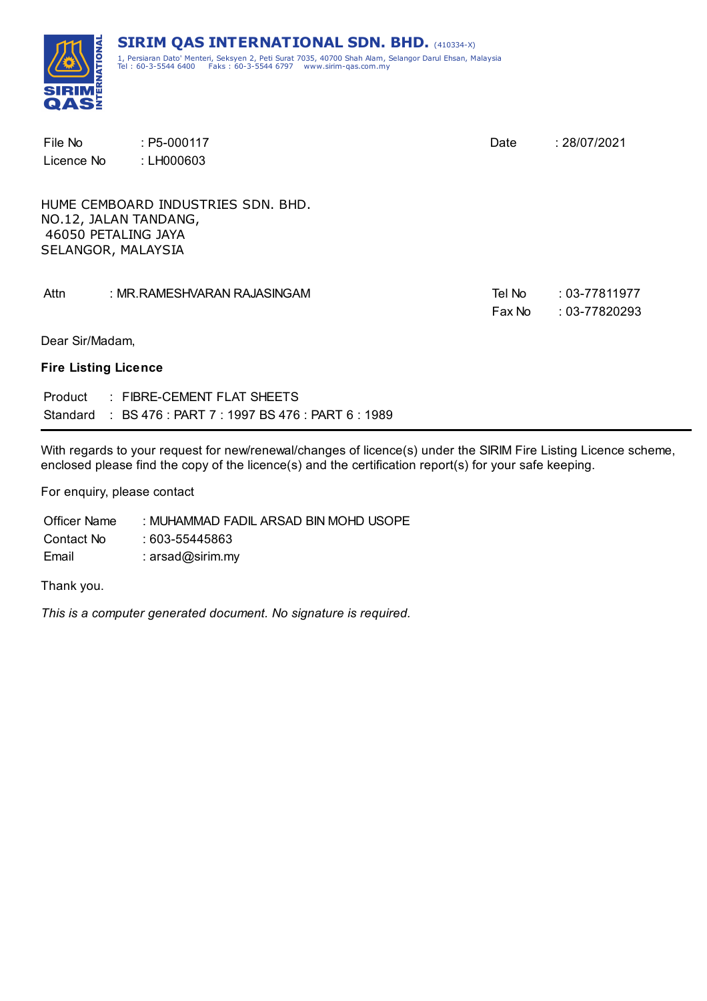

| File No                     | $: P5-000117$                                       | Date   | : 28/07/2021      |
|-----------------------------|-----------------------------------------------------|--------|-------------------|
| Licence No                  | : LH000603                                          |        |                   |
|                             |                                                     |        |                   |
|                             | HUME CEMBOARD INDUSTRIES SDN. BHD.                  |        |                   |
| 46050 PETALING JAYA         | NO.12, JALAN TANDANG,                               |        |                   |
| SELANGOR, MALAYSIA          |                                                     |        |                   |
|                             |                                                     |        |                   |
| Attn                        | : MR.RAMESHVARAN RAJASINGAM                         | Tel No | $: 03 - 77811977$ |
|                             |                                                     | Fax No | $: 03 - 77820293$ |
| Dear Sir/Madam,             |                                                     |        |                   |
| <b>Fire Listing Licence</b> |                                                     |        |                   |
| Product                     | : FIBRE-CEMENT FLAT SHEETS                          |        |                   |
| Standard                    | $\pm$ BS 476 : PART 7 : 1997 BS 476 : PART 6 : 1989 |        |                   |

With regards to your request for new/renewal/changes of licence(s) under the SIRIM Fire Listing Licence scheme, enclosed please find the copy of the licence(s) and the certification report(s) for your safe keeping.

For enquiry, please contact

Officer Name : MUHAMMAD FADIL ARSAD BIN MOHD USOPE Contact No : 603-55445863 Email : arsad@sirim.my

Thank you.

*This is a computer generated document. No signature is required.*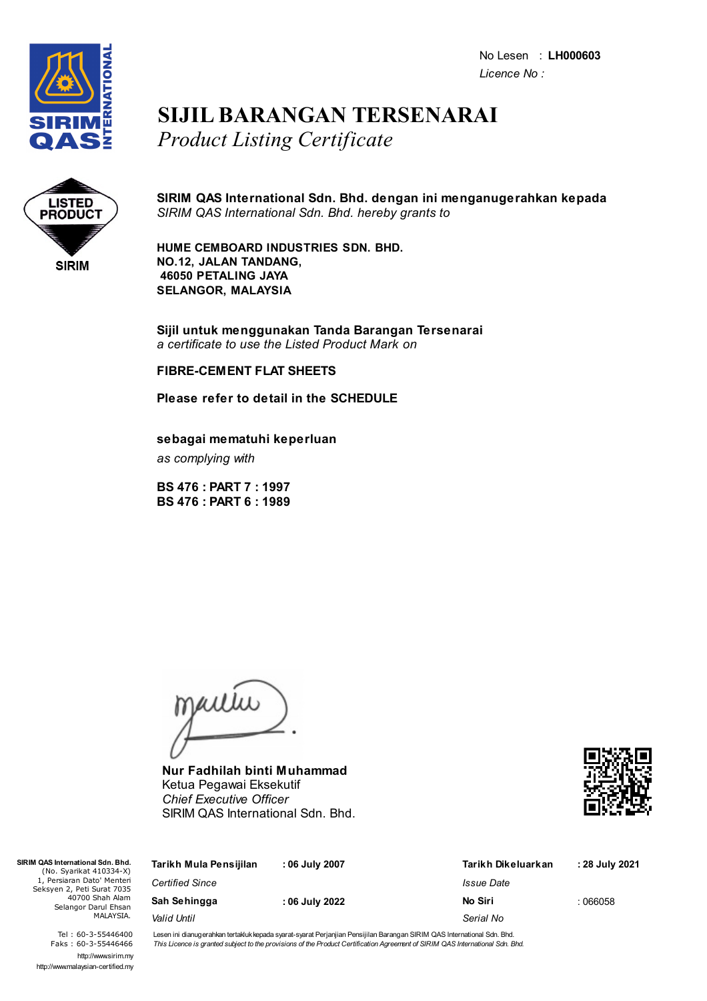No Lesen : **LH000603** *Licence No :*



## **SIJIL BARANGAN TERSENARAI** *Product Listing Certificate*



**SIRIM QAS International Sdn. Bhd. dengan ini menganugerahkan kepada** *SIRIM QAS International Sdn. Bhd. hereby grants to*

**HUME CEMBOARD INDUSTRIES SDN. BHD. NO.12, JALAN TANDANG, 46050 PETALING JAYA SELANGOR, MALAYSIA**

**Sijil untuk menggunakan Tanda Barangan Tersenarai** *a certificate to use the Listed Product Mark on*

#### **FIBRE-CEMENT FLAT SHEETS**

**Please refer to detail in the SCHEDULE**

#### **sebagai mematuhi keperluan**

*as complying with*

**BS 476 : PART 7 : 1997 BS 476 : PART 6 : 1989**

maitiu

**Nur Fadhilah binti Muhammad** Ketua Pegawai Eksekutif *Chief Executive Officer* SIRIM QAS International Sdn. Bhd.



| QAS International Sdn. Bhd.<br>(No. Syarikat 410334-X)   | Tarikh Mula Pensijilan | : 06 July 2007 | Tarikh Dikeluarkan       | : 28 July 2021 |
|----------------------------------------------------------|------------------------|----------------|--------------------------|----------------|
| 1, Persiaran Dato' Menteri<br>ieksyen 2, Peti Surat 7035 | <b>Certified Since</b> |                | <i><b>Issue Date</b></i> |                |
| 40700 Shah Alam<br>Selangor Darul Ehsan                  | Sah Sehingga           | : 06 July 2022 | No Siri                  | : 066058       |
| MALAYSIA.                                                | Valid Until            |                | Serial No                |                |

Tel : 60-3-55446400 Faks : 60-3-55446466 http://www.sirim.my http://www.malaysian-certified.my

 $SIRIMOAS$  $(Nc$ 

Seksy

Lesen ini dianugerahkan tertakluk kepada syarat-syarat Perjanjian Pensijilan Barangan SIRIM QAS International Sdn. Bhd. This Licence is granted subject to the provisions of the Product Certification Agreement of SIRIM QAS International Sdn. Bhd.